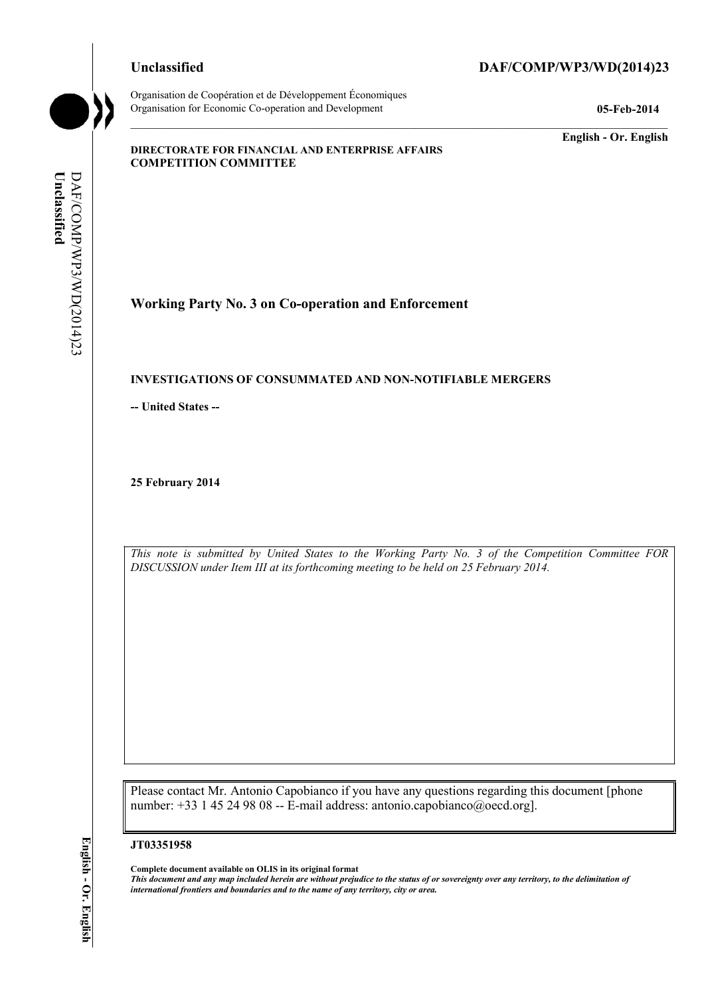Organisation de Coopération et de Développement Économiques Organisation for Economic Co-operation and Development **05-Feb-2014** 

# **Unclassified DAF/COMP/WP3/WD(2014)23**

**English - Or. English** 

#### **DIRECTORATE FOR FINANCIAL AND ENTERPRISE AFFAIRS COMPETITION COMMITTEE**

Unclassified **Unclassified**  DAF/COMP/WP3/WD(2014)23 DAF/COMP/WP3/WD(2014)23

# **Working Party No. 3 on Co-operation and Enforcement**

#### **INVESTIGATIONS OF CONSUMMATED AND NON-NOTIFIABLE MERGERS**

**-- United States --**

**25 February 2014** 

*This note is submitted by United States to the Working Party No. 3 of the Competition Committee FOR DISCUSSION under Item III at its forthcoming meeting to be held on 25 February 2014.* 

Please contact Mr. Antonio Capobianco if you have any questions regarding this document [phone number: +33 1 45 24 98 08 -- E-mail address: antonio.capobianco@oecd.org].

#### **JT03351958**

 **Complete document available on OLIS in its original format** 

 *This document and any map included herein are without prejudice to the status of or sovereignty over any territory, to the delimitation of international frontiers and boundaries and to the name of any territory, city or area.*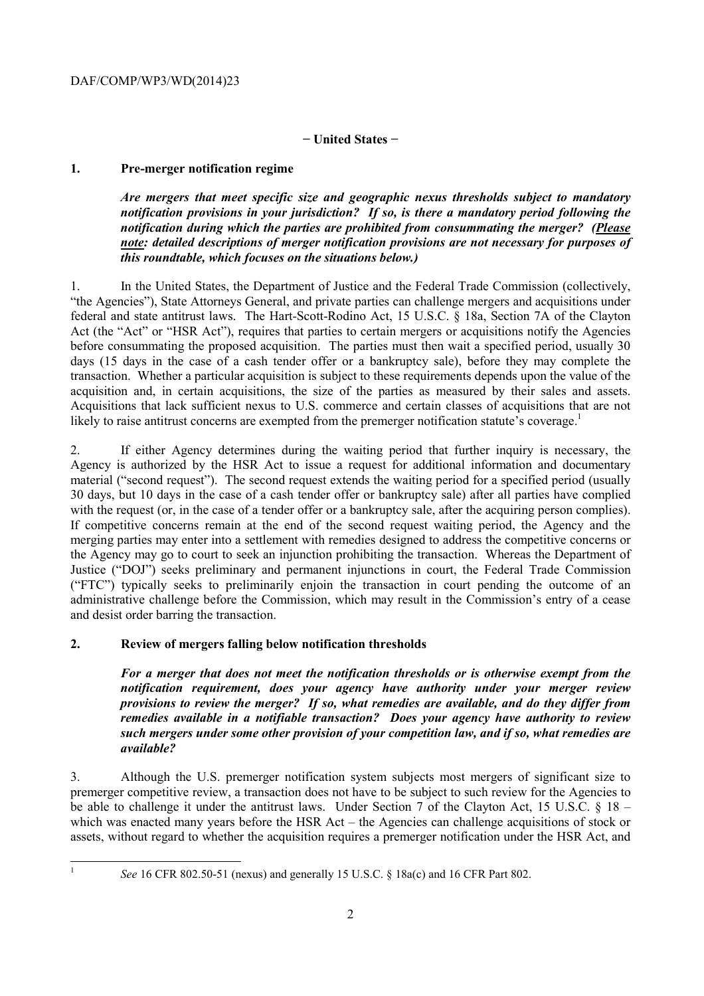# **− United States −**

# **1. Pre-merger notification regime**

*Are mergers that meet specific size and geographic nexus thresholds subject to mandatory notification provisions in your jurisdiction? If so, is there a mandatory period following the notification during which the parties are prohibited from consummating the merger? (Please note: detailed descriptions of merger notification provisions are not necessary for purposes of this roundtable, which focuses on the situations below.)* 

acquisition and, in certain acquisitions, the size of the parties as measured by their sales and assets. 1. In the United States, the Department of Justice and the Federal Trade Commission (collectively, "the Agencies"), State Attorneys General, and private parties can challenge mergers and acquisitions under federal and state antitrust laws. The Hart-Scott-Rodino Act, 15 U.S.C. § 18a, Section 7A of the Clayton Act (the "Act" or "HSR Act"), requires that parties to certain mergers or acquisitions notify the Agencies before consummating the proposed acquisition. The parties must then wait a specified period, usually 30 days (15 days in the case of a cash tender offer or a bankruptcy sale), before they may complete the transaction. Whether a particular acquisition is subject to these requirements depends upon the value of the Acquisitions, that lack sufficient nexus to U.S. commerce and certain classes of acquisitions that are not likely to raise antitrust concerns are exempted from the premerger notification statute's coverage.<sup>1</sup>

with the request (or, in the case of a tender offer or a bankruptcy sale, after the acquiring person complies). the Agency may go to court to seek an injunction prohibiting the transaction. Whereas the Department of 2. If either Agency determines during the waiting period that further inquiry is necessary, the Agency is authorized by the HSR Act to issue a request for additional information and documentary material ("second request"). The second request extends the waiting period for a specified period (usually 30 days, but 10 days in the case of a cash tender offer or bankruptcy sale) after all parties have complied If competitive concerns remain at the end of the second request waiting period, the Agency and the merging parties may enter into a settlement with remedies designed to address the competitive concerns or Justice ("DOJ") seeks preliminary and permanent injunctions in court, the Federal Trade Commission ("FTC") typically seeks to preliminarily enjoin the transaction in court pending the outcome of an administrative challenge before the Commission, which may result in the Commission's entry of a cease and desist order barring the transaction.

# **2. Review of mergers falling below notification thresholds**

*For a merger that does not meet the notification thresholds or is otherwise exempt from the notification requirement, does your agency have authority under your merger review provisions to review the merger? If so, what remedies are available, and do they differ from remedies available in a notifiable transaction? Does your agency have authority to review such mergers under some other provision of your competition law, and if so, what remedies are available?* 

3. Although the U.S. premerger notification system subjects most mergers of significant size to premerger competitive review, a transaction does not have to be subject to such review for the Agencies to be able to challenge it under the antitrust laws. Under Section 7 of the Clayton Act, 15 U.S.C. § 18 – which was enacted many years before the HSR Act – the Agencies can challenge acquisitions of stock or assets, without regard to whether the acquisition requires a premerger notification under the HSR Act, and

 1

*See* 16 CFR 802.50-51 (nexus) and generally 15 U.S.C. § 18a(c) and 16 CFR Part 802.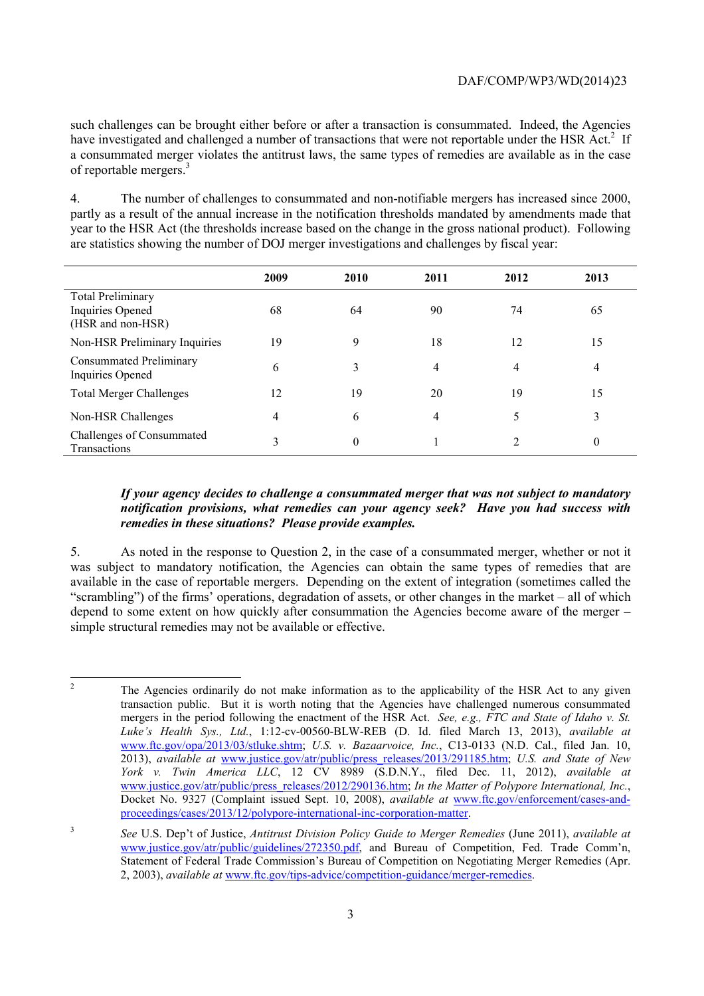have investigated and challenged a number of transactions that were not reportable under the HSR Act.<sup>2</sup> If such challenges can be brought either before or after a transaction is consummated. Indeed, the Agencies a consummated merger violates the antitrust laws, the same types of remedies are available as in the case of reportable mergers.3

 are statistics showing the number of DOJ merger investigations and challenges by fiscal year: 4. The number of challenges to consummated and non-notifiable mergers has increased since 2000, partly as a result of the annual increase in the notification thresholds mandated by amendments made that year to the HSR Act (the thresholds increase based on the change in the gross national product). Following

|                                                                   | 2009 | 2010     | 2011 | 2012           | 2013     |
|-------------------------------------------------------------------|------|----------|------|----------------|----------|
| <b>Total Preliminary</b><br>Inquiries Opened<br>(HSR and non-HSR) | 68   | 64       | 90   | 74             | 65       |
| Non-HSR Preliminary Inquiries                                     | 19   | 9        | 18   | 12             | 15       |
| <b>Consummated Preliminary</b><br>Inquiries Opened                | 6    | 3        | 4    | 4              | 4        |
| <b>Total Merger Challenges</b>                                    | 12   | 19       | 20   | 19             | 15       |
| Non-HSR Challenges                                                | 4    | 6        | 4    |                | 3        |
| Challenges of Consummated<br>Transactions                         | 3    | $\theta$ |      | $\overline{c}$ | $\theta$ |

# *If your agency decides to challenge a consummated merger that was not subject to mandatory notification provisions, what remedies can your agency seek? Have you had success with remedies in these situations? Please provide examples.*

5. As noted in the response to Question 2, in the case of a consummated merger, whether or not it was subject to mandatory notification, the Agencies can obtain the same types of remedies that are available in the case of reportable mergers. Depending on the extent of integration (sometimes called the "scrambling") of the firms' operations, degradation of assets, or other changes in the market – all of which depend to some extent on how quickly after consummation the Agencies become aware of the merger – simple structural remedies may not be available or effective.

 *York v. Twin America LLC*, 12 CV 8989 (S.D.N.Y., filed Dec. 11, 2012), *available at* The Agencies ordinarily do not make information as to the applicability of the HSR Act to any given transaction public. But it is worth noting that the Agencies have challenged numerous consummated mergers in the period following the enactment of the HSR Act. *See, e.g., FTC and State of Idaho v. St. Luke's Health Sys., Ltd.*, 1:12-cv-00560-BLW-REB (D. Id. filed March 13, 2013), *available at*  www.ftc.gov/opa/2013/03/stluke.shtm; *U.S. v. Bazaarvoice, Inc.*, C13-0133 (N.D. Cal., filed Jan. 10, 2013), *available at* www.justice.gov/atr/public/press\_releases/2013/291185.htm; *U.S. and State of New*  www.justice.gov/atr/public/press\_releases/2012/290136.htm; *In the Matter of Polypore International, Inc.*, Docket No. 9327 (Complaint issued Sept. 10, 2008), *available at* www.ftc.gov/enforcement/cases-andproceedings/cases/2013/12/polypore-international-inc-corporation-matter.

<sup>3</sup> *See* U.S. Dep't of Justice, *Antitrust Division Policy Guide to Merger Remedies* (June 2011), *available at*  www.justice.gov/atr/public/guidelines/272350.pdf, and Bureau of Competition, Fed. Trade Comm'n, Statement of Federal Trade Commission's Bureau of Competition on Negotiating Merger Remedies (Apr. 2, 2003), *available at* www.ftc.gov/tips-advice/competition-guidance/merger-remedies.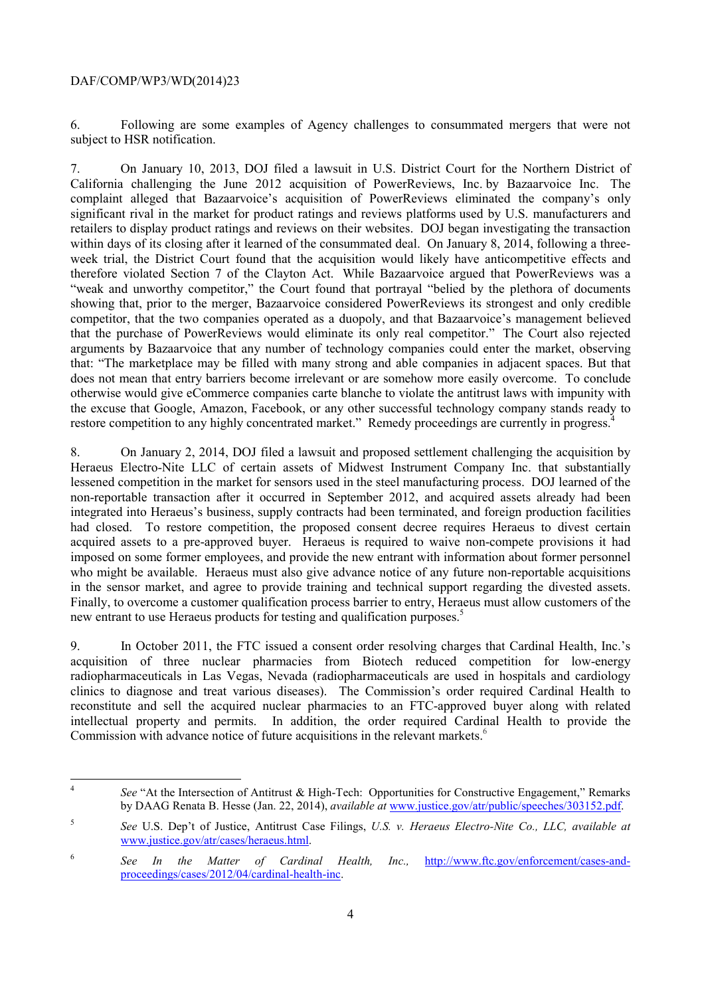$\overline{a}$ 

6. Following are some examples of Agency challenges to consummated mergers that were not subject to HSR notification.

 retailers to display product ratings and reviews on their websites. DOJ began investigating the transaction within days of its closing after it learned of the consummated deal. On January 8, 2014, following a three-7. On January 10, 2013, DOJ filed a lawsuit in U.S. District Court for the Northern District of California challenging the June 2012 acquisition of PowerReviews, Inc. by Bazaarvoice Inc. The complaint alleged that Bazaarvoice's acquisition of PowerReviews eliminated the company's only significant rival in the market for product ratings and reviews platforms used by U.S. manufacturers and week trial, the District Court found that the acquisition would likely have anticompetitive effects and therefore violated Section 7 of the Clayton Act. While Bazaarvoice argued that PowerReviews was a "weak and unworthy competitor," the Court found that portrayal "belied by the plethora of documents showing that, prior to the merger, Bazaarvoice considered PowerReviews its strongest and only credible competitor, that the two companies operated as a duopoly, and that Bazaarvoice's management believed that the purchase of PowerReviews would eliminate its only real competitor." The Court also rejected arguments by Bazaarvoice that any number of technology companies could enter the market, observing that: "The marketplace may be filled with many strong and able companies in adjacent spaces. But that does not mean that entry barriers become irrelevant or are somehow more easily overcome. To conclude otherwise would give eCommerce companies carte blanche to violate the antitrust laws with impunity with the excuse that Google, Amazon, Facebook, or any other successful technology company stands ready to restore competition to any highly concentrated market." Remedy proceedings are currently in progress.

in the sensor market, and agree to provide training and technical support regarding the divested assets. 8. On January 2, 2014, DOJ filed a lawsuit and proposed settlement challenging the acquisition by Heraeus Electro-Nite LLC of certain assets of Midwest Instrument Company Inc. that substantially lessened competition in the market for sensors used in the steel manufacturing process. DOJ learned of the non-reportable transaction after it occurred in September 2012, and acquired assets already had been integrated into Heraeus's business, supply contracts had been terminated, and foreign production facilities had closed. To restore competition, the proposed consent decree requires Heraeus to divest certain acquired assets to a pre-approved buyer. Heraeus is required to waive non-compete provisions it had imposed on some former employees, and provide the new entrant with information about former personnel who might be available. Heraeus must also give advance notice of any future non-reportable acquisitions Finally, to overcome a customer qualification process barrier to entry, Heraeus must allow customers of the new entrant to use Heraeus products for testing and qualification purposes.<sup>5</sup>

 clinics to diagnose and treat various diseases). The Commission's order required Cardinal Health to 9. In October 2011, the FTC issued a consent order resolving charges that Cardinal Health, Inc.'s acquisition of three nuclear pharmacies from Biotech reduced competition for low-energy radiopharmaceuticals in Las Vegas, Nevada (radiopharmaceuticals are used in hospitals and cardiology reconstitute and sell the acquired nuclear pharmacies to an FTC-approved buyer along with related intellectual property and permits. In addition, the order required Cardinal Health to provide the Commission with advance notice of future acquisitions in the relevant markets.<sup>6</sup>

See "At the Intersection of Antitrust & High-Tech: Opportunities for Constructive Engagement," Remarks by DAAG Renata B. Hesse (Jan. 22, 2014), *available at* www.justice.gov/atr/public/speeches/303152.pdf.

<sup>5</sup> *See* U.S. Dep't of Justice, Antitrust Case Filings, *U.S. v. Heraeus Electro-Nite Co., LLC, available at*  www.justice.gov/atr/cases/heraeus.html.

<sup>&</sup>lt;sup>6</sup> See In the Matter of Cardinal Health, Inc., http://www.ftc.gov/enforcement/cases-andproceedings/cases/2012/04/cardinal-health-inc.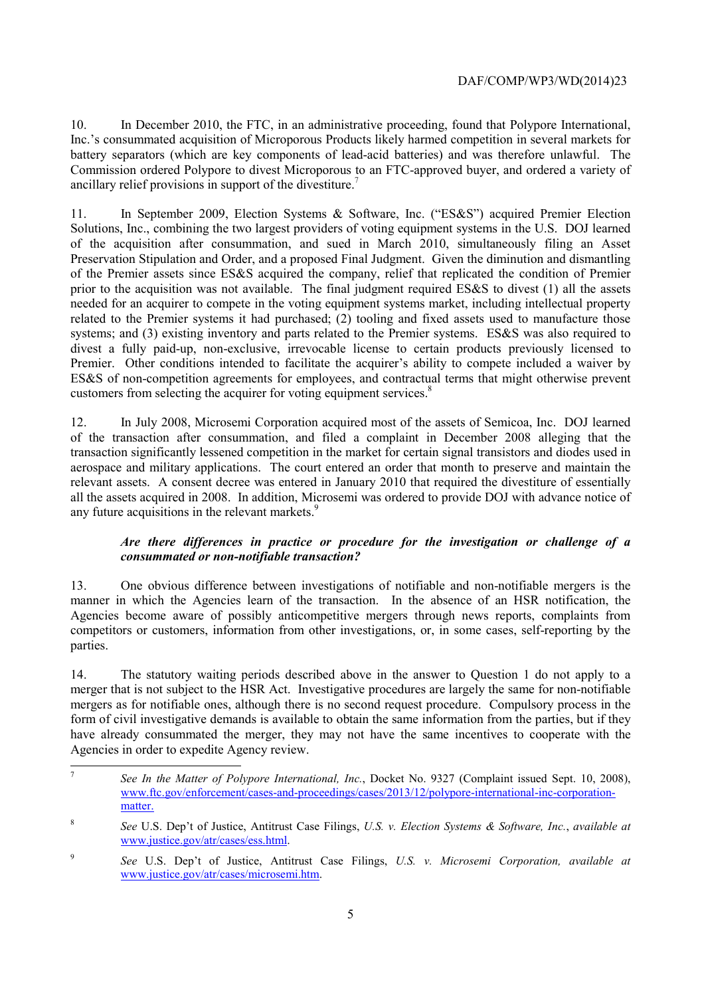battery separators (which are key components of lead-acid batteries) and was therefore unlawful. The 10. In December 2010, the FTC, in an administrative proceeding, found that Polypore International, Inc.'s consummated acquisition of Microporous Products likely harmed competition in several markets for Commission ordered Polypore to divest Microporous to an FTC-approved buyer, and ordered a variety of ancillary relief provisions in support of the divestiture.<sup>7</sup>

11. In September 2009, Election Systems & Software, Inc. ("ES&S") acquired Premier Election Solutions, Inc., combining the two largest providers of voting equipment systems in the U.S. DOJ learned of the acquisition after consummation, and sued in March 2010, simultaneously filing an Asset Preservation Stipulation and Order, and a proposed Final Judgment. Given the diminution and dismantling of the Premier assets since ES&S acquired the company, relief that replicated the condition of Premier prior to the acquisition was not available. The final judgment required  $ES&S$  to divest (1) all the assets needed for an acquirer to compete in the voting equipment systems market, including intellectual property related to the Premier systems it had purchased; (2) tooling and fixed assets used to manufacture those systems; and (3) existing inventory and parts related to the Premier systems. ES&S was also required to divest a fully paid-up, non-exclusive, irrevocable license to certain products previously licensed to Premier. Other conditions intended to facilitate the acquirer's ability to compete included a waiver by ES&S of non-competition agreements for employees, and contractual terms that might otherwise prevent customers from selecting the acquirer for voting equipment services.<sup>8</sup>

12. In July 2008, Microsemi Corporation acquired most of the assets of Semicoa, Inc. DOJ learned of the transaction after consummation, and filed a complaint in December 2008 alleging that the transaction significantly lessened competition in the market for certain signal transistors and diodes used in aerospace and military applications. The court entered an order that month to preserve and maintain the relevant assets. A consent decree was entered in January 2010 that required the divestiture of essentially all the assets acquired in 2008. In addition, Microsemi was ordered to provide DOJ with advance notice of any future acquisitions in the relevant markets.<sup>9</sup>

# *Are there differences in practice or procedure for the investigation or challenge of a consummated or non-notifiable transaction?*

13. One obvious difference between investigations of notifiable and non-notifiable mergers is the manner in which the Agencies learn of the transaction. In the absence of an HSR notification, the Agencies become aware of possibly anticompetitive mergers through news reports, complaints from competitors or customers, information from other investigations, or, in some cases, self-reporting by the parties.

 form of civil investigative demands is available to obtain the same information from the parties, but if they Agencies in order to expedite Agency review. 14. The statutory waiting periods described above in the answer to Question 1 do not apply to a merger that is not subject to the HSR Act. Investigative procedures are largely the same for non-notifiable mergers as for notifiable ones, although there is no second request procedure. Compulsory process in the have already consummated the merger, they may not have the same incentives to cooperate with the

 $\overline{a}$ matter. See In the Matter of Polypore International, Inc., Docket No. 9327 (Complaint issued Sept. 10, 2008), www.ftc.gov/enforcement/cases-and-proceedings/cases/2013/12/polypore-international-inc-corporation-

matter. 8 *See* U.S. Dep't of Justice, Antitrust Case Filings, *U.S. v. Election Systems & Software, Inc.*, *available at*  www.justice.gov/atr/cases/ess.html.

<sup>9</sup> *See* U.S. Dep't of Justice, Antitrust Case Filings, *U.S. v. Microsemi Corporation, available at*  www.justice.gov/atr/cases/microsemi.htm.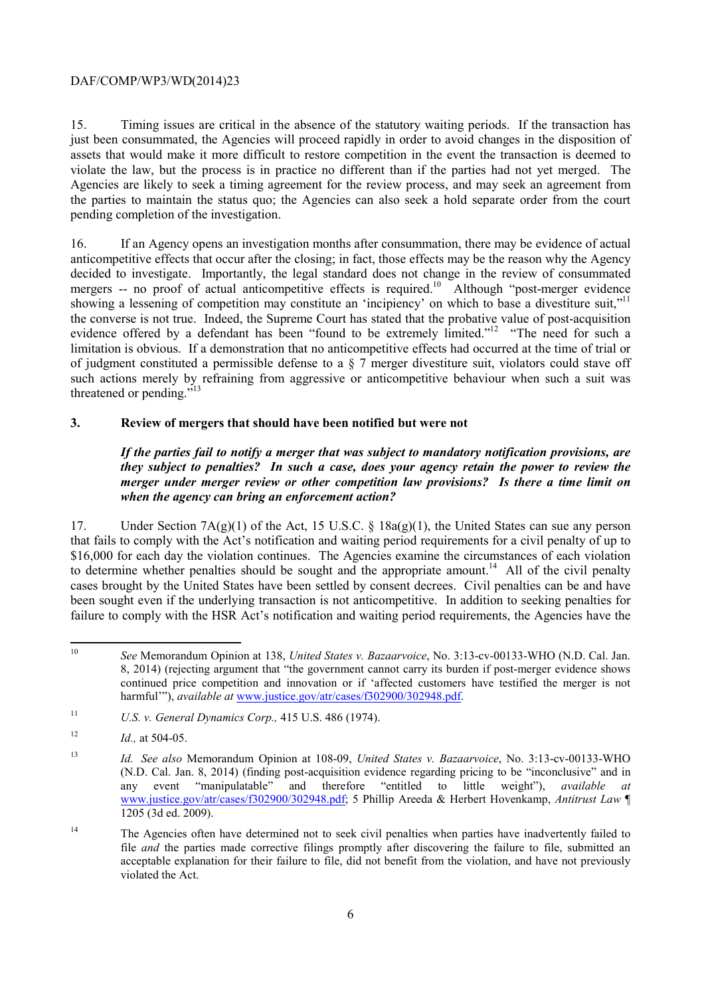15. Timing issues are critical in the absence of the statutory waiting periods. If the transaction has just been consummated, the Agencies will proceed rapidly in order to avoid changes in the disposition of assets that would make it more difficult to restore competition in the event the transaction is deemed to violate the law, but the process is in practice no different than if the parties had not yet merged. The Agencies are likely to seek a timing agreement for the review process, and may seek an agreement from the parties to maintain the status quo; the Agencies can also seek a hold separate order from the court pending completion of the investigation.

16. If an Agency opens an investigation months after consummation, there may be evidence of actual anticompetitive effects that occur after the closing; in fact, those effects may be the reason why the Agency decided to investigate. Importantly, the legal standard does not change in the review of consummated mergers -- no proof of actual anticompetitive effects is required.<sup>10</sup> Although "post-merger evidence showing a lessening of competition may constitute an 'incipiency' on which to base a divestiture suit,"<sup>11</sup> the converse is not true. Indeed, the Supreme Court has stated that the probative value of post-acquisition evidence offered by a defendant has been "found to be extremely limited."<sup>12</sup> "The need for such a limitation is obvious. If a demonstration that no anticompetitive effects had occurred at the time of trial or of judgment constituted a permissible defense to a § 7 merger divestiture suit, violators could stave off such actions merely by refraining from aggressive or anticompetitive behaviour when such a suit was threatened or pending."<sup>13</sup>

# **3. Review of mergers that should have been notified but were not**

 *they subject to penalties? In such a case, does your agency retain the power to review the If the parties fail to notify a merger that was subject to mandatory notification provisions, are merger under merger review or other competition law provisions? Is there a time limit on when the agency can bring an enforcement action?* 

 failure to comply with the HSR Act's notification and waiting period requirements, the Agencies have the 17. Under Section 7A(g)(1) of the Act, 15 U.S.C. § 18a(g)(1), the United States can sue any person that fails to comply with the Act's notification and waiting period requirements for a civil penalty of up to \$16,000 for each day the violation continues. The Agencies examine the circumstances of each violation to determine whether penalties should be sought and the appropriate amount.<sup>14</sup> All of the civil penalty cases brought by the United States have been settled by consent decrees. Civil penalties can be and have been sought even if the underlying transaction is not anticompetitive. In addition to seeking penalties for

See Memorandum Opinion at 138, *United States v. Bazaarvoice*, No. 3:13-cv-00133-WHO (N.D. Cal. Jan. 8, 2014) (rejecting argument that "the government cannot carry its burden if post-merger evidence shows continued price competition and innovation or if 'affected customers have testified the merger is not harmful'"), *available at www.justice.gov/atr/cases/f302900/302948.pdf.* 

<sup>11</sup> *U.S. v. General Dynamics Corp.,* 415 U.S. 486 (1974).

 $12$ *Id.*, at 504-05.

 $13$  1205 (3d ed. 2009). <sup>13</sup> *Id. See also* Memorandum Opinion at 108-09, *United States v. Bazaarvoice*, No. 3:13-cv-00133-WHO (N.D. Cal. Jan. 8, 2014) (finding post-acquisition evidence regarding pricing to be "inconclusive" and in any event "manipulatable" and therefore "entitled to little weight"), *available at*  www.justice.gov/atr/cases/f302900/302948.pdf; 5 Phillip Areeda & Herbert Hovenkamp, *Antitrust Law* ¶

<sup>&</sup>lt;sup>14</sup> The Agencies often have determined not to seek civil penalties when parties have inadvertently failed to file *and* the parties made corrective filings promptly after discovering the failure to file, submitted an acceptable explanation for their failure to file, did not benefit from the violation, and have not previously violated the Act.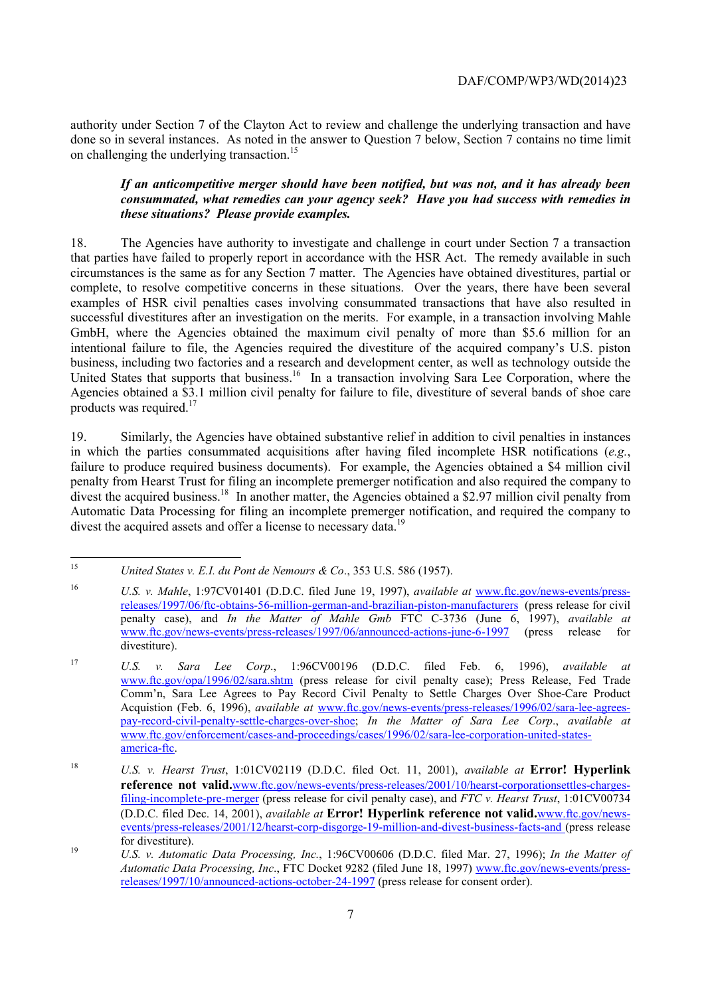authority under Section 7 of the Clayton Act to review and challenge the underlying transaction and have done so in several instances. As noted in the answer to Question 7 below, Section 7 contains no time limit on challenging the underlying transaction.<sup>15</sup>

## *If an anticompetitive merger should have been notified, but was not, and it has already been consummated, what remedies can your agency seek? Have you had success with remedies in these situations? Please provide examples.*

United States that supports that business.<sup>16</sup> In a transaction involving Sara Lee Corporation, where the 18. The Agencies have authority to investigate and challenge in court under Section 7 a transaction that parties have failed to properly report in accordance with the HSR Act. The remedy available in such circumstances is the same as for any Section 7 matter. The Agencies have obtained divestitures, partial or complete, to resolve competitive concerns in these situations. Over the years, there have been several examples of HSR civil penalties cases involving consummated transactions that have also resulted in successful divestitures after an investigation on the merits. For example, in a transaction involving Mahle GmbH, where the Agencies obtained the maximum civil penalty of more than \$5.6 million for an intentional failure to file, the Agencies required the divestiture of the acquired company's U.S. piston business, including two factories and a research and development center, as well as technology outside the Agencies obtained a \$3.1 million civil penalty for failure to file, divestiture of several bands of shoe care products was required. $17$ 

divest the acquired business.<sup>18</sup> In another matter, the Agencies obtained a \$2.97 million civil penalty from 19. Similarly, the Agencies have obtained substantive relief in addition to civil penalties in instances in which the parties consummated acquisitions after having filed incomplete HSR notifications (*e.g.*, failure to produce required business documents). For example, the Agencies obtained a \$4 million civil penalty from Hearst Trust for filing an incomplete premerger notification and also required the company to Automatic Data Processing for filing an incomplete premerger notification, and required the company to divest the acquired assets and offer a license to necessary data.<sup>19</sup>

 $\overline{a}$ 

United States v. E.I. du Pont de Nemours & Co., 353 U.S. 586 (1957).

 $16$ U.S. v. Mahle, 1:97CV01401 (D.D.C. filed June 19, 1997), *available at www.ftc.gov/news-events/press*releases/1997/06/ftc-obtains-56-million-german-and-brazilian-piston-manufacturers (press release for civil penalty case), and *In the Matter of Mahle Gmb* FTC C-3736 (June 6, 1997), *available at*  www.ftc.gov/news-events/press-releases/1997/06/announced-actions-june-6-1997 (press release for divestiture).

<sup>17</sup> U.S. v. Sara Lee Corp., 1:96CV00196 (D.D.C. filed Feb. 6, 1996), *available at* www.ftc.gov/opa/1996/02/sara.shtm (press release for civil penalty case); Press Release, Fed Trade Comm'n, Sara Lee Agrees to Pay Record Civil Penalty to Settle Charges Over Shoe-Care Product Acquistion (Feb. 6, 1996), *available at* www.ftc.gov/news-events/press-releases/1996/02/sara-lee-agreespay-record-civil-penalty-settle-charges-over-shoe; *In the Matter of Sara Lee Corp*., *available at*  www.ftc.gov/enforcement/cases-and-proceedings/cases/1996/02/sara-lee-corporation-united-statesamerica-ftc.

<sup>18</sup> U.S. v. Hearst Trust, 1:01CV02119 (D.D.C. filed Oct. 11, 2001), *available at* **Error! Hyperlink reference not valid.**www.ftc.gov/news-events/press-releases/2001/10/hearst-corporationsettles-chargesfiling-incomplete-pre-merger (press release for civil penalty case), and *FTC v. Hearst Trust*, 1:01CV00734 (D.D.C. filed Dec. 14, 2001), *available at* **Error! Hyperlink reference not valid.**www.ftc.gov/newsevents/press-releases/2001/12/hearst-corp-disgorge-19-million-and-divest-business-facts-and (press release

<sup>19</sup> for divestiture).<br>*U.S. v. Automatic Data Processing, Inc.*, 1:96CV00606 (D.D.C. filed Mar. 27, 1996); *In the Matter of Automatic Data Processing, Inc*., FTC Docket 9282 (filed June 18, 1997) www.ftc.gov/news-events/pressreleases/1997/10/announced-actions-october-24-1997 (press release for consent order).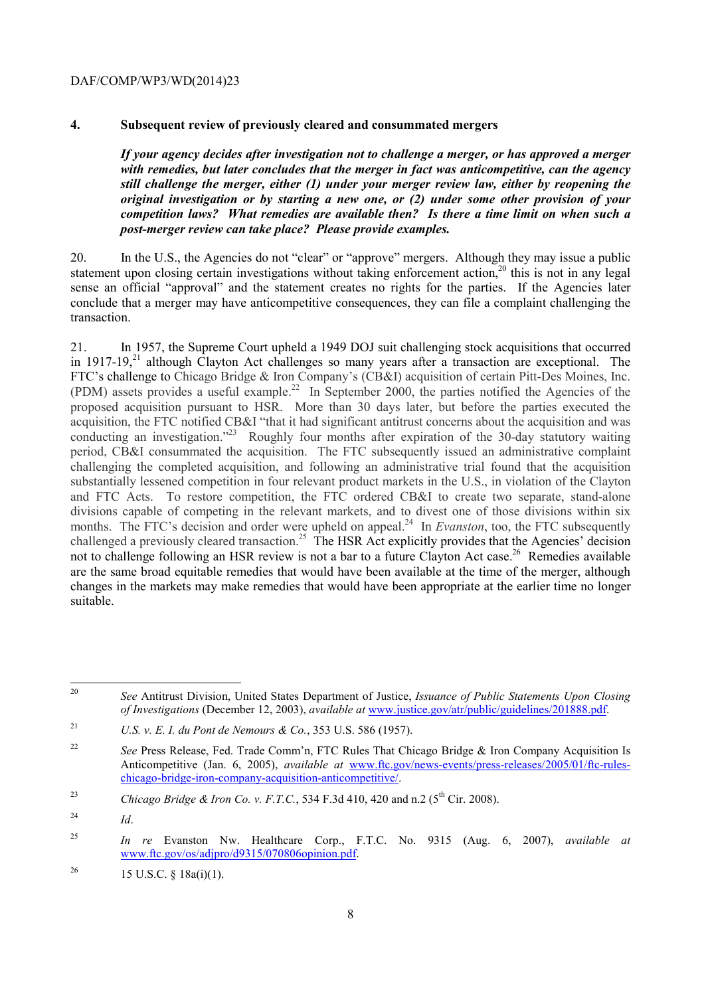## **4. Subsequent review of previously cleared and consummated mergers**

*If your agency decides after investigation not to challenge a merger, or has approved a merger with remedies, but later concludes that the merger in fact was anticompetitive, can the agency still challenge the merger, either (1) under your merger review law, either by reopening the original investigation or by starting a new one, or (2) under some other provision of your competition laws? What remedies are available then? Is there a time limit on when such a post-merger review can take place? Please provide examples.* 

20. In the U.S., the Agencies do not "clear" or "approve" mergers. Although they may issue a public statement upon closing certain investigations without taking enforcement action,<sup>20</sup> this is not in any legal sense an official "approval" and the statement creates no rights for the parties. If the Agencies later conclude that a merger may have anticompetitive consequences, they can file a complaint challenging the transaction.

conducting an investigation."<sup>23</sup> Roughly four months after expiration of the 30-day statutory waiting substantially lessened competition in four relevant product markets in the U.S., in violation of the Clayton and FTC Acts. To restore competition, the FTC ordered CB&I to create two separate, stand-alone months. The FTC's decision and order were upheld on appeal.<sup>24</sup> In *Evanston*, too, the FTC subsequently challenged a previously cleared transaction.<sup>25</sup> The HSR Act explicitly provides that the Agencies' decision 21. In 1957, the Supreme Court upheld a 1949 DOJ suit challenging stock acquisitions that occurred in 1917-19, $^{21}$  although Clayton Act challenges so many years after a transaction are exceptional. The FTC's challenge to Chicago Bridge & Iron Company's (CB&I) acquisition of certain Pitt-Des Moines, Inc. (PDM) assets provides a useful example.<sup>22</sup> In September 2000, the parties notified the Agencies of the proposed acquisition pursuant to HSR. More than 30 days later, but before the parties executed the acquisition, the FTC notified CB&I "that it had significant antitrust concerns about the acquisition and was period, CB&I consummated the acquisition. The FTC subsequently issued an administrative complaint challenging the completed acquisition, and following an administrative trial found that the acquisition divisions capable of competing in the relevant markets, and to divest one of those divisions within six not to challenge following an HSR review is not a bar to a future Clayton Act case.<sup>26</sup> Remedies available are the same broad equitable remedies that would have been available at the time of the merger, although changes in the markets may make remedies that would have been appropriate at the earlier time no longer suitable.

 <sup>20</sup> *See* Antitrust Division, United States Department of Justice, *Issuance of Public Statements Upon Closing of Investigations* (December 12, 2003), *available at* www.justice.gov/atr/public/guidelines/201888.pdf.

 $21\,$ U.S. v. E. I. du Pont de Nemours & Co., 353 U.S. 586 (1957).

<sup>&</sup>lt;sup>22</sup> *See* Press Release, Fed. Trade Comm'n, FTC Rules That Chicago Bridge & Iron Company Acquisition Is Anticompetitive (Jan. 6, 2005), *available at* www.ftc.gov/news-events/press-releases/2005/01/ftc-ruleschicago-bridge-iron-company-acquisition-anticompetitive/.

<sup>&</sup>lt;sup>23</sup> *Chicago Bridge & Iron Co. v. F.T.C.*, 534 F.3d 410, 420 and n.2 ( $5^{th}$  Cir. 2008).

 $^{24}$  *Id.* 

<sup>25</sup> <sup>25</sup> *In re* Evanston Nw. Healthcare Corp., F.T.C. No. 9315 (Aug. 6, 2007), *available at*  www.ftc.gov/os/adjpro/d9315/070806opinion.pdf.

<sup>&</sup>lt;sup>26</sup> 15 U.S.C. § 18a(i)(1).